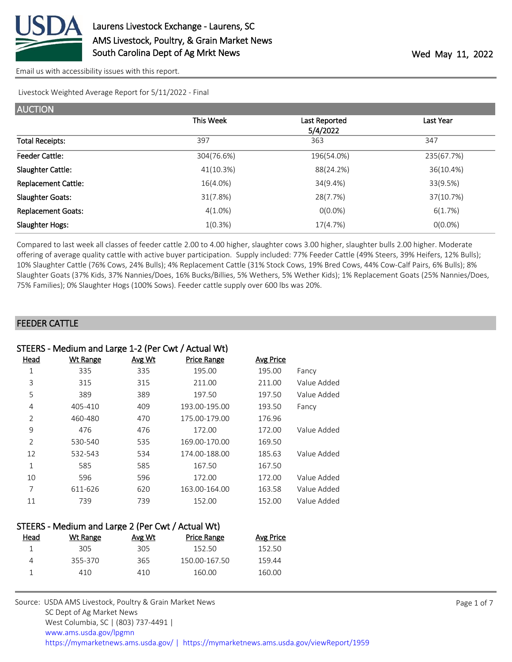

Livestock Weighted Average Report for 5/11/2022 - Final

| <b>AUCTION</b>             |            |                           |            |
|----------------------------|------------|---------------------------|------------|
|                            | This Week  | Last Reported<br>5/4/2022 | Last Year  |
| <b>Total Receipts:</b>     | 397        | 363                       | 347        |
| <b>Feeder Cattle:</b>      | 304(76.6%) | 196(54.0%)                | 235(67.7%) |
| Slaughter Cattle:          | 41(10.3%)  | 88(24.2%)                 | 36(10.4%)  |
| <b>Replacement Cattle:</b> | 16(4.0%)   | 34(9.4%)                  | 33(9.5%)   |
| <b>Slaughter Goats:</b>    | 31(7.8%)   | 28(7.7%)                  | 37(10.7%)  |
| <b>Replacement Goats:</b>  | $4(1.0\%)$ | $O(0.0\%)$                | 6(1.7%)    |
| Slaughter Hogs:            | 1(0.3%)    | 17(4.7%)                  | $O(0.0\%)$ |

Compared to last week all classes of feeder cattle 2.00 to 4.00 higher, slaughter cows 3.00 higher, slaughter bulls 2.00 higher. Moderate offering of average quality cattle with active buyer participation. Supply included: 77% Feeder Cattle (49% Steers, 39% Heifers, 12% Bulls); 10% Slaughter Cattle (76% Cows, 24% Bulls); 4% Replacement Cattle (31% Stock Cows, 19% Bred Cows, 44% Cow-Calf Pairs, 6% Bulls); 8% Slaughter Goats (37% Kids, 37% Nannies/Does, 16% Bucks/Billies, 5% Wethers, 5% Wether Kids); 1% Replacement Goats (25% Nannies/Does, 75% Families); 0% Slaughter Hogs (100% Sows). Feeder cattle supply over 600 lbs was 20%.

#### FEEDER CATTLE

|               | STEERS - Medium and Large 1-2 (Per Cwt / Actual Wt) |               |                    |                  |             |  |
|---------------|-----------------------------------------------------|---------------|--------------------|------------------|-------------|--|
| Head          | <b>Wt Range</b>                                     | <u>Avg Wt</u> | <b>Price Range</b> | <b>Avg Price</b> |             |  |
| 1             | 335                                                 | 335           | 195.00             | 195.00           | Fancy       |  |
| 3             | 315                                                 | 315           | 211.00             | 211.00           | Value Added |  |
| 5             | 389                                                 | 389           | 197.50             | 197.50           | Value Added |  |
| 4             | 405-410                                             | 409           | 193.00-195.00      | 193.50           | Fancy       |  |
| 2             | 460-480                                             | 470           | 175.00-179.00      | 176.96           |             |  |
| 9             | 476                                                 | 476           | 172.00             | 172.00           | Value Added |  |
| $\mathcal{P}$ | 530-540                                             | 535           | 169.00-170.00      | 169.50           |             |  |
| 12            | 532-543                                             | 534           | 174.00-188.00      | 185.63           | Value Added |  |
| $\mathbf{1}$  | 585                                                 | 585           | 167.50             | 167.50           |             |  |
| 10            | 596                                                 | 596           | 172.00             | 172.00           | Value Added |  |
| 7             | 611-626                                             | 620           | 163.00-164.00      | 163.58           | Value Added |  |
| 11            | 739                                                 | 739           | 152.00             | 152.00           | Value Added |  |
|               |                                                     |               |                    |                  |             |  |

| STEERS - Medium and Large 2 (Per Cwt / Actual Wt) |          |        |                    |           |  |
|---------------------------------------------------|----------|--------|--------------------|-----------|--|
| Head                                              | Wt Range | Avg Wt | <b>Price Range</b> | Avg Price |  |
|                                                   | 305      | 305    | 152.50             | 152.50    |  |
| 4                                                 | 355-370  | 365    | 150.00-167.50      | 159.44    |  |
|                                                   | 410.     | 410    | 160.00             | 160.00    |  |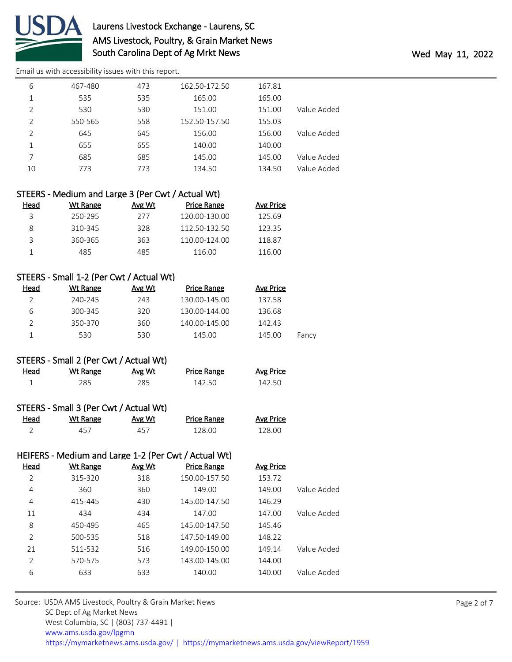

# Laurens Livestock Exchange - Laurens, SC AMS Livestock, Poultry, & Grain Market News South Carolina Dept of Ag Mrkt News **Wed May 11, 2022**

[Email us with accessibility issues with this report.](mailto:mars@ams.usda.gov?subject=508%20issue)

| 6             | 467-480 | 473 | 162.50-172.50 | 167.81 |             |
|---------------|---------|-----|---------------|--------|-------------|
| 1             | 535     | 535 | 165.00        | 165.00 |             |
| $\mathcal{P}$ | 530     | 530 | 151.00        | 151.00 | Value Added |
| $\mathcal{P}$ | 550-565 | 558 | 152.50-157.50 | 155.03 |             |
| 2             | 645     | 645 | 156.00        | 156.00 | Value Added |
| 1             | 655     | 655 | 140.00        | 140.00 |             |
|               | 685     | 685 | 145.00        | 145.00 | Value Added |
| 10            | 773     | 773 | 134.50        | 134.50 | Value Added |
|               |         |     |               |        |             |

| STEERS - Medium and Large 3 (Per Cwt / Actual Wt) |        |               |                  |  |  |
|---------------------------------------------------|--------|---------------|------------------|--|--|
| Wt Range                                          | Avg Wt | Price Range   | <b>Avg Price</b> |  |  |
| 250-295                                           | 277    | 120.00-130.00 | 125.69           |  |  |
| 310-345                                           | 328    | 112.50-132.50 | 123.35           |  |  |
| 360-365                                           | 363    | 110.00-124.00 | 118.87           |  |  |
| 485                                               | 485    | 116.00        | 116.00           |  |  |
|                                                   |        |               |                  |  |  |

### STEERS - Small 1-2 (Per Cwt / Actual Wt)

| Wt Range | Avg Wt | <b>Price Range</b> | Avg Price |       |
|----------|--------|--------------------|-----------|-------|
| 240-245  | 243    | 130.00-145.00      | 137.58    |       |
| 300-345  | 320    | 130.00-144.00      | 136.68    |       |
| 350-370  | 360    | 140.00-145.00      | 142.43    |       |
| 530      | 530    | 145.00             | 145.00    | Fancy |
|          |        |                    |           |       |

|      | STEERS - Small 2 (Per Cwt / Actual Wt) |        |             |           |
|------|----------------------------------------|--------|-------------|-----------|
| Head | Wt Range                               | Avg Wt | Price Range | Avg Price |

| STEERS - Small 3 (Per Cwt / Actual Wt) |  |  |
|----------------------------------------|--|--|
|                                        |  |  |

| Head<br><u>experience</u> and the contract of the | Wt Range | <u>Avg Wt</u> | <b>Price Range</b> | <b>Avg Price</b> |
|---------------------------------------------------|----------|---------------|--------------------|------------------|
|                                                   | 457      | 457           | 128.00             | 128.OC           |

1 285 285 142.50 142.50

|      |          |               | HEIFERS - Medium and Large 1-2 (Per Cwt / Actual Wt) |  |
|------|----------|---------------|------------------------------------------------------|--|
| Head | Wt Range | <u>Avg Wt</u> | <b>Price Range</b>                                   |  |

| 2              | 315-320 | 318 | 150.00-157.50 | 153.72 |             |
|----------------|---------|-----|---------------|--------|-------------|
| 4              | 360     | 360 | 149.00        | 149.00 | Value Added |
| 4              | 415-445 | 430 | 145.00-147.50 | 146.29 |             |
| 11             | 434     | 434 | 147.00        | 147.00 | Value Added |
| 8              | 450-495 | 465 | 145.00-147.50 | 145.46 |             |
| $\overline{2}$ | 500-535 | 518 | 147.50-149.00 | 148.22 |             |
| 21             | 511-532 | 516 | 149.00-150.00 | 149.14 | Value Added |
| 2              | 570-575 | 573 | 143.00-145.00 | 144.00 |             |
| 6              | 633     | 633 | 140.00        | 140.00 | Value Added |
|                |         |     |               |        |             |

Avg Price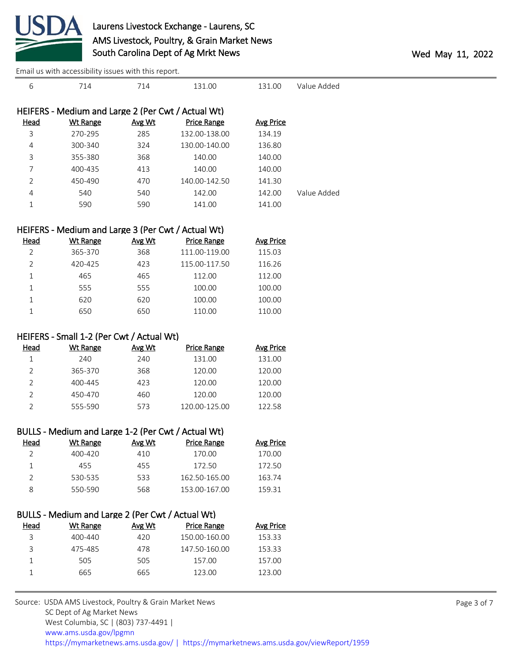

| 6           | 714                                                | 714    | 131.00             | 131.00           | Value Added |
|-------------|----------------------------------------------------|--------|--------------------|------------------|-------------|
|             | HEIFERS - Medium and Large 2 (Per Cwt / Actual Wt) |        |                    |                  |             |
| <b>Head</b> | <b>Wt Range</b>                                    | Avg Wt | <b>Price Range</b> | <b>Avg Price</b> |             |
| 3           | 270-295                                            | 285    | 132.00-138.00      | 134.19           |             |
| 4           | 300-340                                            | 324    | 130.00-140.00      | 136.80           |             |
| 3           | 355-380                                            | 368    | 140.00             | 140.00           |             |
|             | 400-435                                            | 413    | 140.00             | 140.00           |             |
| 2           | 450-490                                            | 470    | 140.00-142.50      | 141.30           |             |
| 4           | 540                                                | 540    | 142.00             | 142.00           | Value Added |
| 1           | 590                                                | 590    | 141.00             | 141.00           |             |
|             |                                                    |        |                    |                  |             |

## HEIFERS - Medium and Large 3 (Per Cwt / Actual Wt)

| Head | Wt Range | Avg Wt | Price Range   | <b>Avg Price</b> |
|------|----------|--------|---------------|------------------|
|      | 365-370  | 368    | 111.00-119.00 | 115.03           |
|      | 420-425  | 423    | 115.00-117.50 | 116.26           |
|      | 465      | 465    | 112.00        | 112.00           |
|      | 555      | 555    | 100.00        | 100.00           |
|      | 620      | 620    | 100.00        | 100.00           |
|      | 650      | 650    | 110.00        | 110.00           |

### HEIFERS - Small 1-2 (Per Cwt / Actual Wt)

| Head | Wt Range | Avg Wt | <b>Price Range</b> | Avg Price |
|------|----------|--------|--------------------|-----------|
|      | 240      | 240    | 131.00             | 131.00    |
| っ    | 365-370  | 368    | 120.00             | 120.00    |
|      | 400-445  | 423    | 120.00             | 120.00    |
|      | 450-470  | 460    | 120.00             | 120.00    |
|      | 555-590  | 573    | 120.00-125.00      | 122.58    |

|               | BULLS - Medium and Large 1-2 (Per Cwt / Actual Wt) |        |                    |           |
|---------------|----------------------------------------------------|--------|--------------------|-----------|
| Head          | Wt Range                                           | Avg Wt | <b>Price Range</b> | Avg Price |
|               | $400 - 420$                                        | 410    | 170.00             | 170.00    |
|               | 455                                                | 455    | 172.50             | 172.50    |
| $\mathcal{L}$ | 530-535                                            | 533    | 162.50-165.00      | 163.74    |
| 8             | 550-590                                            | 568    | 153.00-167.00      | 159.31    |

|      | BULLS - Medium and Large 2 (Per Cwt / Actual Wt) |        |                    |           |
|------|--------------------------------------------------|--------|--------------------|-----------|
| Head | Wt Range                                         | Avg Wt | <b>Price Range</b> | Avg Price |
| 3    | $400 - 440$                                      | 420    | 150.00-160.00      | 153.33    |
| 3    | 475-485                                          | 478    | 147.50-160.00      | 153.33    |
|      | 505                                              | 505    | 157.00             | 157.00    |
|      | 665                                              | 665    | 123.00             | 123.00    |
|      |                                                  |        |                    |           |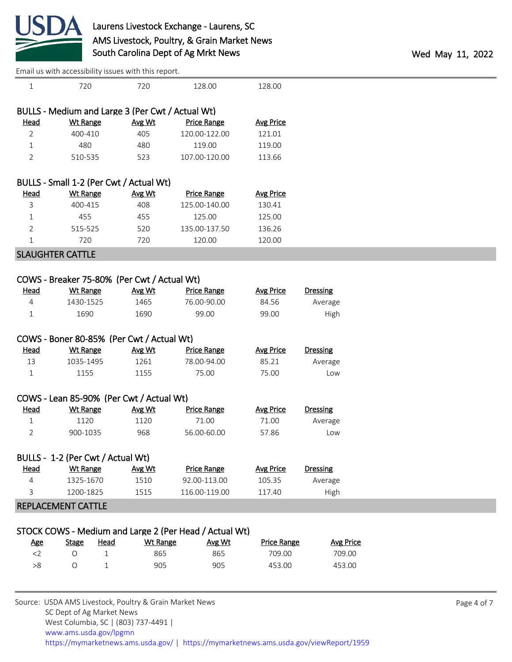

| Effiall us with accessibility issues with this report. |                                                  |                 |                                                        |                    |                  |  |
|--------------------------------------------------------|--------------------------------------------------|-----------------|--------------------------------------------------------|--------------------|------------------|--|
| $\mathbf{1}$                                           | 720                                              | 720             | 128.00                                                 | 128.00             |                  |  |
|                                                        | BULLS - Medium and Large 3 (Per Cwt / Actual Wt) |                 |                                                        |                    |                  |  |
| <b>Head</b>                                            | <b>Wt Range</b>                                  | Avg Wt          | <b>Price Range</b>                                     | <b>Avg Price</b>   |                  |  |
| 2                                                      | 400-410                                          | 405             | 120.00-122.00                                          | 121.01             |                  |  |
| $\mathbf 1$                                            | 480                                              | 480             | 119.00                                                 | 119.00             |                  |  |
| $\overline{2}$                                         | 510-535                                          | 523             | 107.00-120.00                                          | 113.66             |                  |  |
|                                                        |                                                  |                 |                                                        |                    |                  |  |
|                                                        | BULLS - Small 1-2 (Per Cwt / Actual Wt)          |                 |                                                        |                    |                  |  |
| <b>Head</b>                                            | <b>Wt Range</b>                                  | Avg Wt          | <b>Price Range</b>                                     | <b>Avg Price</b>   |                  |  |
| 3                                                      | 400-415                                          | 408             | 125.00-140.00                                          | 130.41             |                  |  |
| 1                                                      | 455                                              | 455             | 125.00                                                 | 125.00             |                  |  |
| $\overline{2}$                                         | 515-525                                          | 520             | 135.00-137.50                                          | 136.26             |                  |  |
| $\mathbf{1}$                                           | 720                                              | 720             | 120.00                                                 | 120.00             |                  |  |
| <b>SLAUGHTER CATTLE</b>                                |                                                  |                 |                                                        |                    |                  |  |
|                                                        |                                                  |                 |                                                        |                    |                  |  |
|                                                        | COWS - Breaker 75-80% (Per Cwt / Actual Wt)      |                 |                                                        |                    |                  |  |
| <b>Head</b>                                            | <b>Wt Range</b>                                  | Avg Wt          | <b>Price Range</b>                                     | <b>Avg Price</b>   | <b>Dressing</b>  |  |
| $\overline{4}$                                         | 1430-1525                                        | 1465            | 76.00-90.00                                            | 84.56              | Average          |  |
| $\mathbf{1}$                                           | 1690                                             | 1690            | 99.00                                                  | 99.00              | High             |  |
|                                                        |                                                  |                 |                                                        |                    |                  |  |
|                                                        | COWS - Boner 80-85% (Per Cwt / Actual Wt)        |                 |                                                        |                    |                  |  |
| <u>Head</u>                                            | <b>Wt Range</b>                                  | Avg Wt          | <b>Price Range</b>                                     | <b>Avg Price</b>   | <b>Dressing</b>  |  |
| 13                                                     | 1035-1495                                        | 1261            | 78.00-94.00                                            | 85.21              | Average          |  |
| $\mathbf{1}$                                           | 1155                                             | 1155            | 75.00                                                  | 75.00              | Low              |  |
|                                                        |                                                  |                 |                                                        |                    |                  |  |
|                                                        | COWS - Lean 85-90% (Per Cwt / Actual Wt)         |                 |                                                        |                    |                  |  |
| <b>Head</b>                                            | <b>Wt Range</b>                                  | Avg Wt          | <b>Price Range</b>                                     | <b>Avg Price</b>   | <b>Dressing</b>  |  |
| $\mathbf{1}$                                           | 1120                                             | 1120            | 71.00                                                  | 71.00              | Average          |  |
| 2                                                      | 900-1035                                         | 968             | 56.00-60.00                                            | 57.86              | Low              |  |
|                                                        | BULLS - 1-2 (Per Cwt / Actual Wt)                |                 |                                                        |                    |                  |  |
| <b>Head</b>                                            | <b>Wt Range</b>                                  | Avg Wt          | <b>Price Range</b>                                     | <b>Avg Price</b>   | <b>Dressing</b>  |  |
| 4                                                      | 1325-1670                                        | 1510            | 92.00-113.00                                           | 105.35             | Average          |  |
| 3                                                      | 1200-1825                                        | 1515            | 116.00-119.00                                          | 117.40             | High             |  |
|                                                        | <b>REPLACEMENT CATTLE</b>                        |                 |                                                        |                    |                  |  |
|                                                        |                                                  |                 |                                                        |                    |                  |  |
|                                                        |                                                  |                 | STOCK COWS - Medium and Large 2 (Per Head / Actual Wt) |                    |                  |  |
| <u>Age</u>                                             | <b>Stage</b><br><b>Head</b>                      | <b>Wt Range</b> | Avg Wt                                                 | <b>Price Range</b> | <b>Avg Price</b> |  |
| $<$ 2                                                  | $\bigcirc$<br>$\mathbf{1}$                       | 865             | 865                                                    | 709.00             | 709.00           |  |

>8 O 1 905 905 453.00 453.00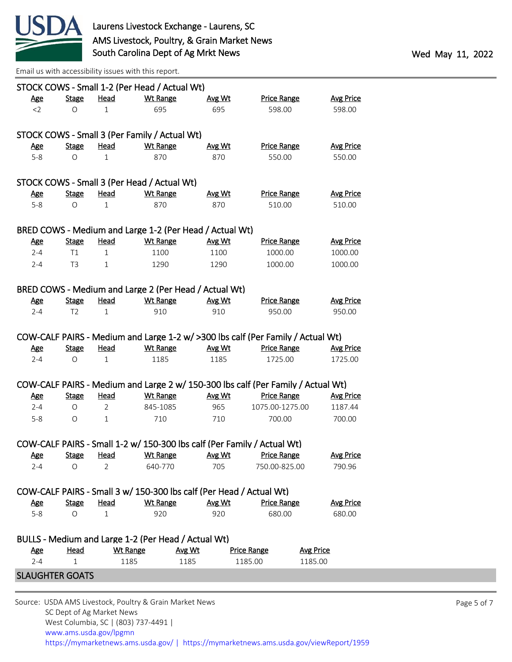

|                        |                |                | STOCK COWS - Small 1-2 (Per Head / Actual Wt)                           |               |                                                                                  |                  |
|------------------------|----------------|----------------|-------------------------------------------------------------------------|---------------|----------------------------------------------------------------------------------|------------------|
| <u>Age</u>             | <b>Stage</b>   | Head           | <b>Wt Range</b>                                                         | Avg Wt        | <b>Price Range</b>                                                               | <b>Avg Price</b> |
| $<$ 2                  | $\circ$        | $\mathbf{1}$   | 695                                                                     | 695           | 598.00                                                                           | 598.00           |
|                        |                |                |                                                                         |               |                                                                                  |                  |
|                        |                |                | STOCK COWS - Small 3 (Per Family / Actual Wt)                           |               |                                                                                  |                  |
| <u>Age</u>             | <b>Stage</b>   | Head           | <b>Wt Range</b>                                                         | Avg Wt        | <b>Price Range</b>                                                               | <b>Avg Price</b> |
| $5-8$                  | $\circ$        | 1              | 870                                                                     | 870           | 550.00                                                                           | 550.00           |
|                        |                |                |                                                                         |               |                                                                                  |                  |
|                        |                |                | STOCK COWS - Small 3 (Per Head / Actual Wt)                             |               |                                                                                  |                  |
| <u>Age</u>             | <b>Stage</b>   | <b>Head</b>    | <b>Wt Range</b>                                                         | <b>Avg Wt</b> | <b>Price Range</b>                                                               | <b>Avg Price</b> |
| $5-8$                  | $\circ$        | $\mathbf{1}$   | 870                                                                     | 870           | 510.00                                                                           | 510.00           |
|                        |                |                |                                                                         |               |                                                                                  |                  |
|                        |                |                | BRED COWS - Medium and Large 1-2 (Per Head / Actual Wt)                 |               |                                                                                  |                  |
| <u>Age</u>             | <b>Stage</b>   | Head           | <b>Wt Range</b>                                                         | Avg Wt        | <b>Price Range</b>                                                               | <b>Avg Price</b> |
| $2 - 4$                | T1             | $\mathbf{1}$   | 1100                                                                    | 1100          | 1000.00                                                                          | 1000.00          |
| $2 - 4$                | T <sub>3</sub> | $\mathbf{1}$   | 1290                                                                    | 1290          | 1000.00                                                                          | 1000.00          |
|                        |                |                |                                                                         |               |                                                                                  |                  |
|                        |                |                | BRED COWS - Medium and Large 2 (Per Head / Actual Wt)                   |               |                                                                                  |                  |
| <b>Age</b>             | <b>Stage</b>   | <u>Head</u>    | <b>Wt Range</b>                                                         | Avg Wt        | <b>Price Range</b>                                                               | <b>Avg Price</b> |
| 2-4                    | T <sub>2</sub> | $\mathbf{1}$   | 910                                                                     | 910           | 950.00                                                                           | 950.00           |
|                        |                |                |                                                                         |               |                                                                                  |                  |
|                        |                |                |                                                                         |               | COW-CALF PAIRS - Medium and Large 1-2 w/ >300 lbs calf (Per Family / Actual Wt)  |                  |
| <b>Age</b>             | <b>Stage</b>   | <b>Head</b>    | <b>Wt Range</b>                                                         | <b>Avg Wt</b> | <b>Price Range</b>                                                               | <b>Avg Price</b> |
| $2 - 4$                | O              | 1              | 1185                                                                    | 1185          | 1725.00                                                                          | 1725.00          |
|                        |                |                |                                                                         |               |                                                                                  |                  |
|                        |                |                |                                                                         |               | COW-CALF PAIRS - Medium and Large 2 w/ 150-300 lbs calf (Per Family / Actual Wt) |                  |
| <u>Age</u>             | <b>Stage</b>   | Head           | <b>Wt Range</b>                                                         | Avg Wt        | <b>Price Range</b>                                                               | <b>Avg Price</b> |
| $2 - 4$                | O              | $\overline{2}$ | 845-1085                                                                | 965           | 1075.00-1275.00                                                                  | 1187.44          |
| 5-8                    | O              | $\mathbf{1}$   | 710                                                                     | 710           | 700.00                                                                           | 700.00           |
|                        |                |                |                                                                         |               |                                                                                  |                  |
|                        |                |                | COW-CALF PAIRS - Small 1-2 w/ 150-300 lbs calf (Per Family / Actual Wt) |               |                                                                                  |                  |
| <u>Age</u>             | <b>Stage</b>   | <b>Head</b>    | <b>Wt Range</b>                                                         | Avg Wt        | <b>Price Range</b>                                                               | <b>Avg Price</b> |
| $2 - 4$                | O              | $\overline{2}$ | 640-770                                                                 | 705           | 750.00-825.00                                                                    | 790.96           |
|                        |                |                |                                                                         |               |                                                                                  |                  |
|                        |                |                | COW-CALF PAIRS - Small 3 w/ 150-300 lbs calf (Per Head / Actual Wt)     |               |                                                                                  |                  |
| <u>Age</u>             | <b>Stage</b>   | <u>Head</u>    | <b>Wt Range</b>                                                         | Avg Wt        | <b>Price Range</b>                                                               | <b>Avg Price</b> |
| $5-8$                  | $\circ$        | 1              | 920                                                                     | 920           | 680.00                                                                           | 680.00           |
|                        |                |                |                                                                         |               |                                                                                  |                  |
|                        |                |                | BULLS - Medium and Large 1-2 (Per Head / Actual Wt)                     |               |                                                                                  |                  |
| <u>Age</u>             | <b>Head</b>    |                | <b>Wt Range</b><br>Avg Wt                                               |               | <b>Avg Price</b><br><b>Price Range</b>                                           |                  |
| $2 - 4$                | $\mathbf{1}$   |                | 1185<br>1185                                                            |               | 1185.00<br>1185.00                                                               |                  |
|                        |                |                |                                                                         |               |                                                                                  |                  |
| <b>SLAUGHTER GOATS</b> |                |                |                                                                         |               |                                                                                  |                  |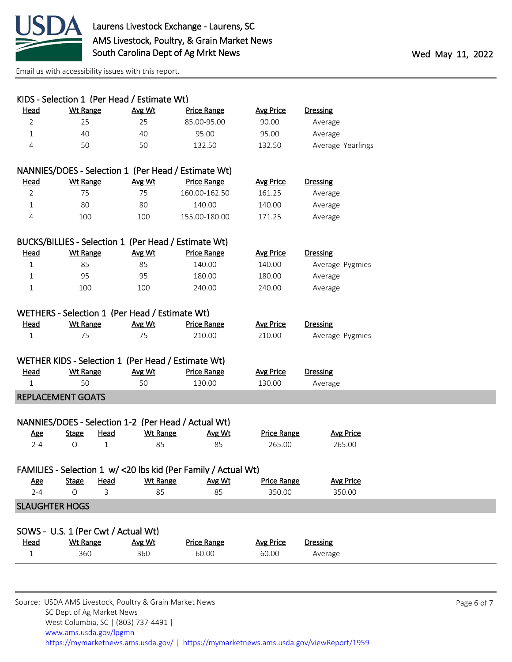

| KIDS - Selection 1 (Per Head / Estimate Wt) |                   |                  |                                                      |                                                                 |                              |                            |
|---------------------------------------------|-------------------|------------------|------------------------------------------------------|-----------------------------------------------------------------|------------------------------|----------------------------|
| Head                                        | <b>Wt Range</b>   |                  | Avg Wt                                               | <b>Price Range</b>                                              | <b>Avg Price</b>             | <b>Dressing</b>            |
| $\overline{2}$                              | 25                |                  | 25                                                   | 85.00-95.00                                                     | 90.00                        | Average                    |
| $\mathbf{1}$                                | 40                |                  | 40                                                   | 95.00                                                           | 95.00                        | Average                    |
| 4                                           | 50                |                  | 50                                                   | 132.50                                                          | 132.50                       | Average Yearlings          |
|                                             |                   |                  |                                                      |                                                                 |                              |                            |
|                                             |                   |                  |                                                      | NANNIES/DOES - Selection 1 (Per Head / Estimate Wt)             |                              |                            |
| Head                                        | <b>Wt Range</b>   |                  | Avg Wt                                               | <b>Price Range</b>                                              | <b>Avg Price</b>             | <b>Dressing</b>            |
| $\overline{2}$                              | 75                |                  | 75                                                   | 160.00-162.50                                                   | 161.25                       | Average                    |
| $\mathbf{1}$                                | 80                |                  | 80                                                   | 140.00                                                          | 140.00                       | Average                    |
| 4                                           | 100               |                  | 100                                                  | 155.00-180.00                                                   | 171.25                       | Average                    |
|                                             |                   |                  |                                                      |                                                                 |                              |                            |
|                                             |                   |                  | BUCKS/BILLIES - Selection 1 (Per Head / Estimate Wt) |                                                                 |                              |                            |
| <u>Head</u>                                 | <b>Wt Range</b>   |                  | Avg Wt                                               | <b>Price Range</b>                                              | <b>Avg Price</b>             | <b>Dressing</b>            |
| $\mathbf{1}$                                | 85                |                  | 85                                                   | 140.00                                                          | 140.00                       | Average Pygmies            |
| 1                                           | 95                |                  | 95                                                   | 180.00                                                          | 180.00                       | Average                    |
| 1                                           | 100               |                  | 100                                                  | 240.00                                                          | 240.00                       | Average                    |
|                                             |                   |                  |                                                      |                                                                 |                              |                            |
|                                             |                   |                  | WETHERS - Selection 1 (Per Head / Estimate Wt)       |                                                                 |                              |                            |
| <b>Head</b>                                 | <b>Wt Range</b>   |                  | Avg Wt                                               | <b>Price Range</b>                                              | <b>Avg Price</b>             | <b>Dressing</b>            |
| 1                                           | 75                |                  | 75                                                   | 210.00                                                          | 210.00                       | Average Pygmies            |
|                                             |                   |                  |                                                      |                                                                 |                              |                            |
|                                             |                   |                  | WETHER KIDS - Selection 1 (Per Head / Estimate Wt)   |                                                                 |                              |                            |
| <b>Head</b>                                 | <b>Wt Range</b>   |                  | Avg Wt                                               | <b>Price Range</b>                                              | <b>Avg Price</b>             | <b>Dressing</b>            |
| $\mathbf{1}$                                | 50                |                  | 50                                                   | 130.00                                                          | 130.00                       | Average                    |
| <b>REPLACEMENT GOATS</b>                    |                   |                  |                                                      |                                                                 |                              |                            |
|                                             |                   |                  |                                                      |                                                                 |                              |                            |
|                                             |                   |                  | NANNIES/DOES - Selection 1-2 (Per Head / Actual Wt)  |                                                                 |                              |                            |
| <u>Age</u><br>$2 - 4$                       | <b>Stage</b><br>O | <b>Head</b><br>1 | <b>Wt Range</b><br>85                                | Avg Wt<br>85                                                    | <b>Price Range</b><br>265.00 | <b>Avg Price</b><br>265.00 |
|                                             |                   |                  |                                                      |                                                                 |                              |                            |
|                                             |                   |                  |                                                      | FAMILIES - Selection 1 w/ < 20 lbs kid (Per Family / Actual Wt) |                              |                            |
| <u>Age</u>                                  | <b>Stage</b>      | Head             | <b>Wt Range</b>                                      | Avg Wt                                                          | <b>Price Range</b>           | <b>Avg Price</b>           |
| $2 - 4$                                     | $\circ$           | 3                | 85                                                   | 85                                                              | 350.00                       | 350.00                     |
| <b>SLAUGHTER HOGS</b>                       |                   |                  |                                                      |                                                                 |                              |                            |
|                                             |                   |                  |                                                      |                                                                 |                              |                            |
| SOWS - U.S. 1 (Per Cwt / Actual Wt)         |                   |                  |                                                      |                                                                 |                              |                            |
| <u>Head</u>                                 | <b>Wt Range</b>   |                  | Avg Wt                                               | <b>Price Range</b>                                              | <b>Avg Price</b>             | <b>Dressing</b>            |
| $\mathbf 1$                                 | 360               |                  | 360                                                  | 60.00                                                           | 60.00                        | Average                    |
|                                             |                   |                  |                                                      |                                                                 |                              |                            |
|                                             |                   |                  |                                                      |                                                                 |                              |                            |